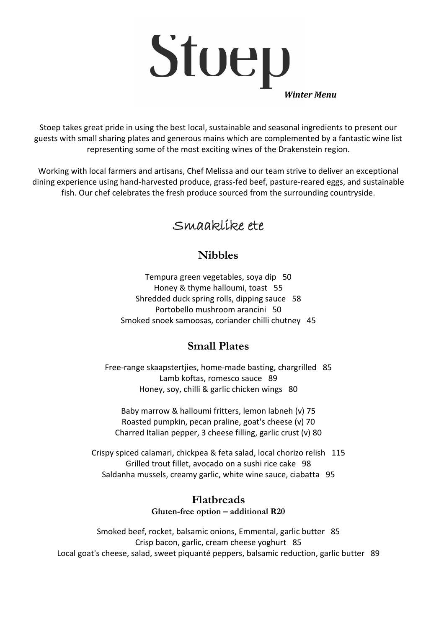

Stoep takes great pride in using the best local, sustainable and seasonal ingredients to present our guests with small sharing plates and generous mains which are complemented by a fantastic wine list representing some of the most exciting wines of the Drakenstein region.

Working with local farmers and artisans, Chef Melissa and our team strive to deliver an exceptional dining experience using hand-harvested produce, grass-fed beef, pasture-reared eggs, and sustainable fish. Our chef celebrates the fresh produce sourced from the surrounding countryside.

# Smaaklike ete

# **Nibbles**

Tempura green vegetables, soya dip 50 Honey & thyme halloumi, toast 55 Shredded duck spring rolls, dipping sauce 58 Portobello mushroom arancini 50 Smoked snoek samoosas, coriander chilli chutney 45

# **Small Plates**

Free-range skaapstertjies, home-made basting, chargrilled 85 Lamb koftas, romesco sauce 89 Honey, soy, chilli & garlic chicken wings 80

Baby marrow & halloumi fritters, lemon labneh (v) 75 Roasted pumpkin, pecan praline, goat's cheese (v) 70 Charred Italian pepper, 3 cheese filling, garlic crust (v) 80

Crispy spiced calamari, chickpea & feta salad, local chorizo relish 115 Grilled trout fillet, avocado on a sushi rice cake 98 Saldanha mussels, creamy garlic, white wine sauce, ciabatta 95

#### **Flatbreads Gluten-free option – additional R20**

Smoked beef, rocket, balsamic onions, Emmental, garlic butter 85 Crisp bacon, garlic, cream cheese yoghurt 85 Local goat's cheese, salad, sweet piquanté peppers, balsamic reduction, garlic butter 89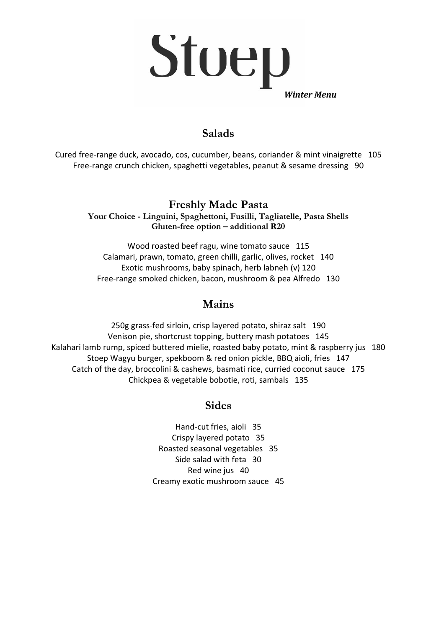

## **Salads**

Cured free-range duck, avocado, cos, cucumber, beans, coriander & mint vinaigrette 105 Free-range crunch chicken, spaghetti vegetables, peanut & sesame dressing 90

## **Freshly Made Pasta**

**Your Choice - Linguini, Spaghettoni, Fusilli, Tagliatelle, Pasta Shells Gluten-free option – additional R20**

Wood roasted beef ragu, wine tomato sauce 115 Calamari, prawn, tomato, green chilli, garlic, olives, rocket 140 Exotic mushrooms, baby spinach, herb labneh (v) 120 Free-range smoked chicken, bacon, mushroom & pea Alfredo 130

#### **Mains**

250g grass-fed sirloin, crisp layered potato, shiraz salt 190 Venison pie, shortcrust topping, buttery mash potatoes 145 Kalahari lamb rump, spiced buttered mielie, roasted baby potato, mint & raspberry jus 180 Stoep Wagyu burger, spekboom & red onion pickle, BBQ aioli, fries 147 Catch of the day, broccolini & cashews, basmati rice, curried coconut sauce 175 Chickpea & vegetable bobotie, roti, sambals 135

#### **Sides**

Hand-cut fries, aioli 35 Crispy layered potato 35 Roasted seasonal vegetables 35 Side salad with feta 30 Red wine jus 40 Creamy exotic mushroom sauce 45